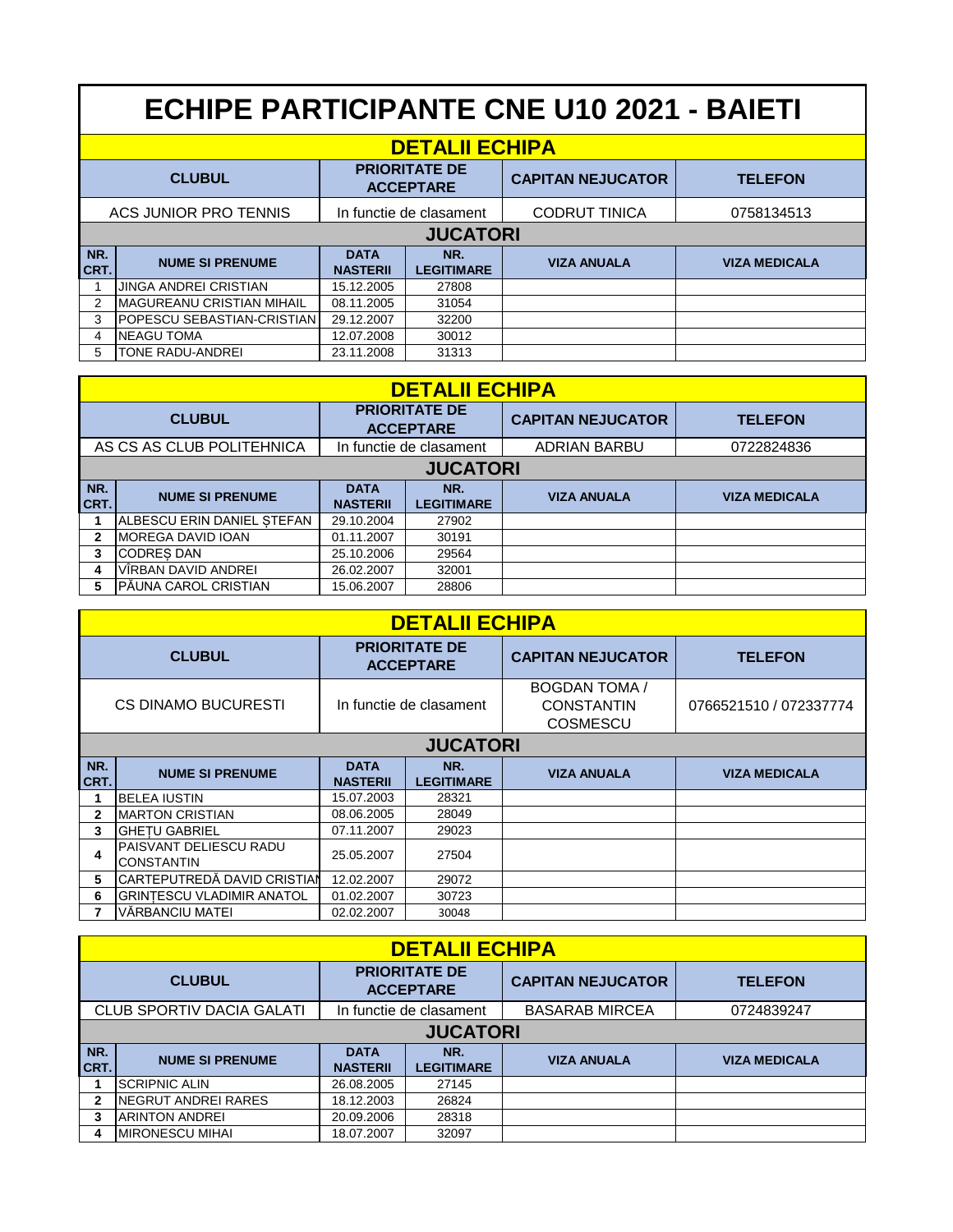## **ECHIPE PARTICIPANTE CNE U10 2021 - BAIETI**

| <b>DETALII ECHIPA</b> |                              |                                          |                          |                          |                      |  |
|-----------------------|------------------------------|------------------------------------------|--------------------------|--------------------------|----------------------|--|
| <b>CLUBUL</b>         |                              | <b>PRIORITATE DE</b><br><b>ACCEPTARE</b> |                          | <b>CAPITAN NEJUCATOR</b> | <b>TELEFON</b>       |  |
| ACS JUNIOR PRO TENNIS |                              | In functie de clasament                  |                          | <b>CODRUT TINICA</b>     | 0758134513           |  |
| <b>JUCATORI</b>       |                              |                                          |                          |                          |                      |  |
| NR.<br><b>CRT.</b>    | <b>NUME SI PRENUME</b>       | <b>DATA</b><br><b>NASTERII</b>           | NR.<br><b>LEGITIMARE</b> | <b>VIZA ANUALA</b>       | <b>VIZA MEDICALA</b> |  |
|                       | <b>JINGA ANDREI CRISTIAN</b> | 15.12.2005                               | 27808                    |                          |                      |  |
| 2                     | IMAGUREANU CRISTIAN MIHAIL   | 08.11.2005                               | 31054                    |                          |                      |  |
| 3                     | POPESCU SEBASTIAN-CRISTIAN   | 29.12.2007                               | 32200                    |                          |                      |  |
| 4                     | <b>INEAGU TOMA</b>           | 12.07.2008                               | 30012                    |                          |                      |  |
| 5                     | TONE RADU-ANDREI             | 23.11.2008                               | 31313                    |                          |                      |  |

| <b>DETALII ECHIPA</b>     |                             |                                          |                          |                          |                      |  |
|---------------------------|-----------------------------|------------------------------------------|--------------------------|--------------------------|----------------------|--|
|                           | <b>CLUBUL</b>               | <b>PRIORITATE DE</b><br><b>ACCEPTARE</b> |                          | <b>CAPITAN NEJUCATOR</b> | <b>TELEFON</b>       |  |
| AS CS AS CLUB POLITEHNICA |                             | In functie de clasament                  |                          | <b>ADRIAN BARBU</b>      | 0722824836           |  |
| <b>JUCATORI</b>           |                             |                                          |                          |                          |                      |  |
| NR.<br>CRT.               | <b>NUME SI PRENUME</b>      | <b>DATA</b><br><b>NASTERII</b>           | NR.<br><b>LEGITIMARE</b> | <b>VIZA ANUALA</b>       | <b>VIZA MEDICALA</b> |  |
|                           | IALBESCU ERIN DANIEL STEFAN | 29.10.2004                               | 27902                    |                          |                      |  |
| 2                         | IMOREGA DAVID IOAN          | 01.11.2007                               | 30191                    |                          |                      |  |
| 3                         | <b>CODRES DAN</b>           | 25.10.2006                               | 29564                    |                          |                      |  |
| 4                         | VÎRBAN DAVID ANDREI         | 26.02.2007                               | 32001                    |                          |                      |  |
| 5                         | IPĂUNA CAROL CRISTIAN       | 15.06.2007                               | 28806                    |                          |                      |  |

| <b>DETALII ECHIPA</b>      |                                             |                                          |                          |                                                              |                        |  |  |
|----------------------------|---------------------------------------------|------------------------------------------|--------------------------|--------------------------------------------------------------|------------------------|--|--|
| <b>CLUBUL</b>              |                                             | <b>PRIORITATE DE</b><br><b>ACCEPTARE</b> |                          | <b>CAPITAN NEJUCATOR</b>                                     | <b>TELEFON</b>         |  |  |
| <b>CS DINAMO BUCURESTI</b> |                                             | In functie de clasament                  |                          | <b>BOGDAN TOMA /</b><br><b>CONSTANTIN</b><br><b>COSMESCU</b> | 0766521510 / 072337774 |  |  |
| <b>JUCATORI</b>            |                                             |                                          |                          |                                                              |                        |  |  |
| NR.<br>CRT.                | <b>NUME SI PRENUME</b>                      | <b>DATA</b><br><b>NASTERII</b>           | NR.<br><b>LEGITIMARE</b> | <b>VIZA ANUALA</b>                                           | <b>VIZA MEDICALA</b>   |  |  |
|                            | <b>BELEA IUSTIN</b>                         | 15.07.2003                               | 28321                    |                                                              |                        |  |  |
| 2                          | <b>MARTON CRISTIAN</b>                      | 08.06.2005                               | 28049                    |                                                              |                        |  |  |
| 3                          | <b>GHETU GABRIEL</b>                        | 07.11.2007                               | 29023                    |                                                              |                        |  |  |
| 4                          | PAISVANT DELIESCU RADU<br><b>CONSTANTIN</b> | 25.05.2007                               | 27504                    |                                                              |                        |  |  |
| 5                          | ICARTEPUTREDĂ DAVID CRISTIAN                | 12.02.2007                               | 29072                    |                                                              |                        |  |  |
| 6                          | <b>GRINTESCU VLADIMIR ANATOL</b>            | 01.02.2007                               | 30723                    |                                                              |                        |  |  |
|                            | VĂRBANCIU MATEI                             | 02.02.2007                               | 30048                    |                                                              |                        |  |  |

| <b>DETALII ECHIPA</b> |                           |                                                  |                          |                          |                      |  |  |
|-----------------------|---------------------------|--------------------------------------------------|--------------------------|--------------------------|----------------------|--|--|
| <b>CLUBUL</b>         |                           | <b>PRIORITATE DE</b><br><b>ACCEPTARE</b>         |                          | <b>CAPITAN NEJUCATOR</b> | <b>TELEFON</b>       |  |  |
|                       | CLUB SPORTIV DACIA GALATI | <b>BASARAB MIRCEA</b><br>In functie de clasament |                          | 0724839247               |                      |  |  |
|                       | <b>JUCATORI</b>           |                                                  |                          |                          |                      |  |  |
| NR.<br>CRT.           | <b>NUME SI PRENUME</b>    | <b>DATA</b><br><b>NASTERII</b>                   | NR.<br><b>LEGITIMARE</b> | <b>VIZA ANUALA</b>       | <b>VIZA MEDICALA</b> |  |  |
|                       | <b>SCRIPNIC ALIN</b>      | 26.08.2005                                       | 27145                    |                          |                      |  |  |
|                       | INEGRUT ANDREI RARES      | 18.12.2003                                       | 26824                    |                          |                      |  |  |
|                       | ARINTON ANDREI            | 20.09.2006                                       | 28318                    |                          |                      |  |  |
|                       | <b>MIRONESCU MIHAI</b>    | 18.07.2007                                       | 32097                    |                          |                      |  |  |